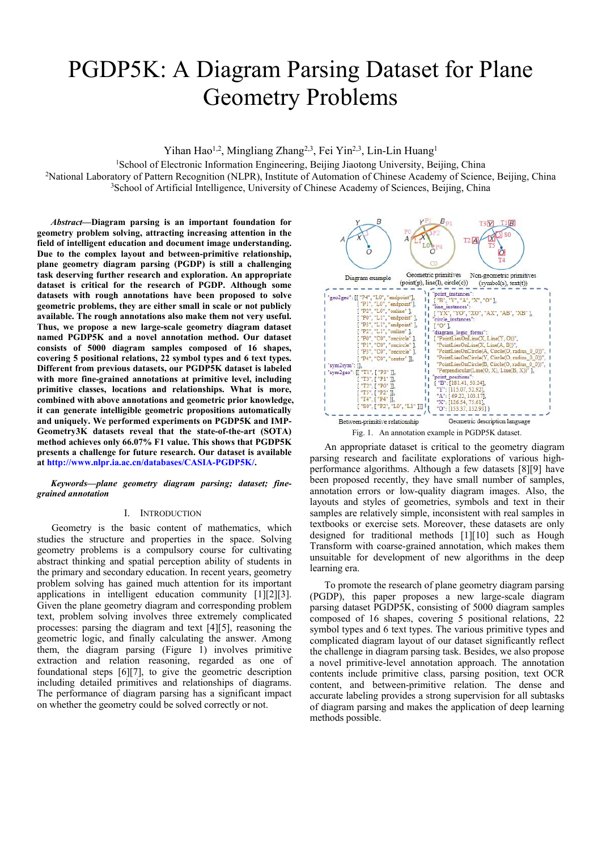# PGDP5K: A Diagram Parsing Dataset for Plane Geometry Problems

Yihan Hao<sup>1,2</sup>, Mingliang Zhang<sup>2,3</sup>, Fei Yin<sup>2,3</sup>, Lin-Lin Huang<sup>1</sup> 1

<sup>1</sup>School of Electronic Information Engineering, Beijing Jiaotong University, Beijing, China

<sup>2</sup>National Laboratory of Pattern Recognition (NLPR), Institute of Automation of Chinese Academy of Science, Beijing, China <sup>3</sup>School of Artificial Intelligence, University of Chinese Academy of Sciences, Beijing, China

*Abstract***—Diagram parsing is an important foundation for geometry problem solving, attracting increasing attention in the field of intelligent education and document image understanding. Due to the complex layoutand between-primitive relationship, plane geometry diagram parsing (PGDP) is still a challenging task deserving further research and exploration. An appropriate dataset is critical for the research of PGDP. Although some datasets with rough annotations have been proposed to solve geometric problems, they are either small in scale or not publicly**  $\begin{bmatrix} \text{P1}', \text{LO}' \\ \text{P2}', \text{LO}' \end{bmatrix}$ **<br><b>available. The rough annotations also make them not very useful. available. The rough annotations also make them not very useful. Thus, we propose a new large-scale geometry diagram dataset named PGDP5K and a novel annotation method. Our dataset consists of 5000 diagram samples composed of 16 shapes, covering 5 positional relations, 22 symbol types and 6 text types. Different from previous datasets, our PGDP5K dataset is labeled with more fine-grained annotations at primitive level, including primitive classes,locations and relationships. What is more, combined with above annotations and geometric prior knowledge,** it can generate intelligible geometric propositions automatically **and uniquely. We performed experiments on PGDP5K and IMP- Geometry3K datasets reveal that the state-of-the-art (SOTA) method achieves only 66.07% F1 value. This shows that PGDP5K presents a challenge for future research. Our dataset is available at <http://www.nlpr.ia.ac.cn/databases/CASIA-PGDP5K/>.**

*Keywords—plane geometry diagram parsing; dataset; fine grained annotation*

#### I. INTRODUCTION

Geometry is the basic content of mathematics, which studies the structure and properties in the space. Solving geometry problems is a compulsory course for cultivating abstract thinking and spatial perception ability of students in the primary and secondary education. In recent years, geometry problem solving has gained much attention for its important applications in intelligent education community [1][2][3]. Given the plane geometry diagram and corresponding problem text, problem solving involves three extremely complicated processes: parsing the diagram and text [4][5], reasoning the geometric logic, and finally calculating the answer. Among them, the diagram parsing (Figure 1) involves primitive extraction and relation reasoning, regarded as one of foundational steps [6][7], to give the geometric description including detailed primitives and relationships of diagrams. The performance of diagram parsing has a significant impact on whether the geometry could be solved correctly or not.



An appropriate dataset is critical to the geometry diagram parsing research and facilitate explorations of various high performance algorithms. Although a few datasets [8][9] have been proposed recently, they have small number of samples, annotation errors or low-quality diagram images. Also, the layouts and styles of geometries, symbols and text in their samples are relatively simple, inconsistent with real samples in textbooks or exercise sets. Moreover, these datasets are only designed for traditional methods [1][10] such as Hough Transform with coarse-grained annotation, which makes them unsuitable for development of new algorithms in the deep learning era.

To promote the research of plane geometry diagram parsing (PGDP), this paper proposes a new large-scale diagram parsing dataset PGDP5K, consisting of 5000 diagram samples composed of 16 shapes, covering 5 positional relations, 22 symbol types and 6 text types. The various primitive types and complicated diagram layout of our dataset significantly reflect the challenge in diagram parsing task. Besides, we also propose a novel primitive-level annotation approach. The annotation contents include primitive class, parsing position, text OCR content, and between-primitive relation. The dense and accurate labeling provides a strong supervision for all subtasks of diagram parsing and makes the application of deep learning methods possible.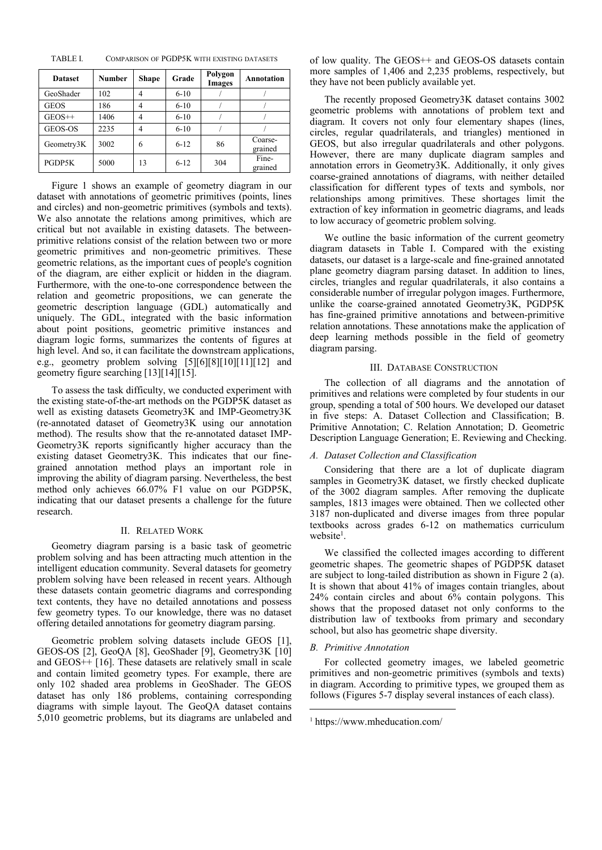| <b>Dataset</b> | <b>Number</b> | <b>Shape</b>   | Grade    | Polygon<br><b>Images</b> | <b>Annotation</b>  | more samp<br>they have r |
|----------------|---------------|----------------|----------|--------------------------|--------------------|--------------------------|
| GeoShader      | 102           | $\overline{4}$ | $6-10$   |                          |                    | The red                  |
| <b>GEOS</b>    | 186           | 4              | $6-10$   |                          |                    | geometric                |
| $GEOS++$       | 1406          | 4              | $6-10$   |                          |                    | diagram. I               |
| GEOS-OS        | 2235          | 4              | $6-10$   |                          |                    | circles, reg             |
| Geometry3K     | 3002          | 6              | $6 - 12$ | 86                       | Coarse-<br>grained | GEOS, bu                 |
| PGDP5K         | 5000          | 13             | $6 - 12$ | 304                      | Fine-<br>grained   | However,<br>annotation   |

Figure 1 shows an example of geometry diagram in our dataset with annotations of geometric primitives (points, lines and circles) and non-geometric primitives (symbols and texts). We also annotate the relations among primitives, which are critical but not available in existing datasets. The between primitive relations consist of the relation between two or more geometric primitives and non-geometric primitives. These geometric relations, as the important cues of people's cognition of the diagram, are either explicit or hidden in the diagram. Furthermore, with the one-to-one correspondence between the relation and geometric propositions, we can generate the geometric description language (GDL) automatically and uniquely. The GDL, integrated with the basic information about point positions, geometric primitive instances and diagram logic forms, summarizes the contents of figures at high level. And so, it can facilitate the downstream applications, e.g., geometry problem solving [5][6][8][10][11][12] and geometry figure searching [13][14][15].

To assess the task difficulty, we conducted experiment with the existing state-of-the-art methods on the PGDP5K dataset as well as existing datasets Geometry3K and IMP-Geometry3K (re-annotated dataset of Geometry3K using our annotation method). The results show that the re-annotated dataset IMP- Geometry3K reports significantly higher accuracy than the existing dataset Geometry3K. This indicates that our fine grained annotation method plays an important role in improving the ability of diagram parsing. Nevertheless, the best method only achieves 66.07% F1 value on our PGDP5K, indicating that our dataset presents a challenge for the future research.

### II. RELATED WORK

Geometry diagram parsing is a basic task of geometric problem solving and has been attracting much attention in the intelligent education community. Several datasets for geometry problem solving have been released in recent years. Although these datasets contain geometric diagrams and corresponding text contents, they have no detailed annotations and possess few geometry types. To our knowledge, there was no dataset offering detailed annotations for geometry diagram parsing.

Geometric problem solving datasets include GEOS [1], GEOS-OS [2], GeoQA [8], GeoShader [9], Geometry3K [10] and GEOS++ [16]. These datasets are relatively small in scale and contain limited geometry types. For example, there are only 102 shaded area problems in GeoShader. The GEOS dataset has only 186 problems, containing corresponding diagrams with simple layout. The GeoQA dataset contains 5,010 geometric problems, but its diagrams are unlabeled and

TABLE I. COMPARISON OF PGDP5K WITH EXISTING DATASETS of low quality. The GEOS++ and GEOS-OS datasets contain Images **Annotation** they have not been publicly available yet. more samples of 1,406 and 2,235 problems, respectively, but

> The recently proposed Geometry3K dataset contains 3002 geometric problems with annotations of problem text and diagram. It covers not only four elementary shapes (lines, circles, regular quadrilaterals, and triangles) mentioned in GEOS, but also irregular quadrilaterals and other polygons. However, there are many duplicate diagram samples and annotation errors in Geometry3K. Additionally, it only gives coarse-grained annotations of diagrams, with neither detailed classification for different types of texts and symbols, nor relationships among primitives. These shortages limit the extraction of key information in geometric diagrams, and leads to low accuracy of geometric problem solving.

We outline the basic information of the current geometry diagram datasets in Table Ⅰ. Compared with the existing datasets, our dataset is a large-scale and fine-grained annotated plane geometry diagram parsing dataset. In addition to lines, circles, triangles and regular quadrilaterals, it also contains a considerable number of irregular polygon images. Furthermore, unlike the coarse-grained annotated Geometry3K, PGDP5K has fine-grained primitive annotations and between-primitive relation annotations. These annotations make the application of deep learning methods possible in the field of geometry diagram parsing.

#### III. DATABASE CONSTRUCTION

The collection of all diagrams and the annotation of primitives and relations were completed by four students in our group, spending a total of 500 hours. We developed our dataset in five steps: A. Dataset Collection and Classification; B. Primitive Annotation; C. Relation Annotation; D. Geometric Description Language Generation; E. Reviewing and Checking.

#### *A. Dataset Collection and Classification*

Considering that there are a lot of duplicate diagram samples in Geometry3K dataset, we firstly checked duplicate of the 3002 diagram samples. After removing the duplicate samples, 1813 images were obtained. Then we collected other 3187 non-duplicated and diverse images from three popular textbooks across grades 6-12 on mathematics curriculum website<sup>1</sup>.  $1$ .

We classified the collected images according to different geometric shapes. The geometric shapes of PGDP5K dataset are subject to long-tailed distribution as shown in Figure 2 (a). It is shown that about 41% of images contain triangles, about 24% contain circles and about 6% contain polygons. This shows that the proposed dataset not only conforms to the distribution law of textbooks from primary and secondary school, but also has geometric shape diversity.

#### *B. Primitive Annotation*

For collected geometry images, we labeled geometric primitives and non-geometric primitives (symbols and texts) in diagram. According to primitive types, we grouped them as follows (Figures 5-7 display several instances of each class).

<span id="page-1-0"></span><sup>1</sup> https://www.mheducation.com/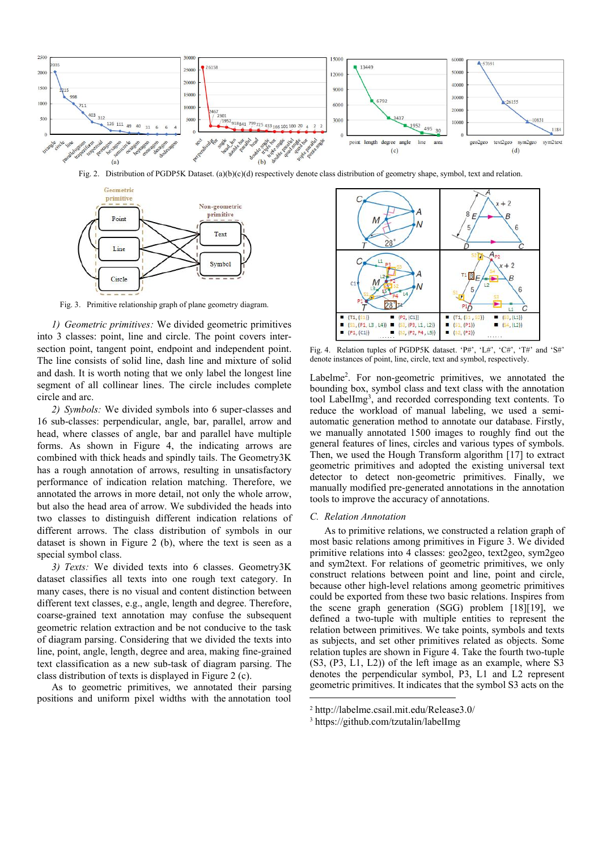

Fig. 2. Distribution of PGDP5K Dataset. (a)(b)(c)(d) respectively denote class distribution of geometry shape, symbol, text and relation.



Fig. 3. Primitive relationship graph of plane geometry diagram.

*1) Geometric primitives*: We divided geometric primitives<br> **1 (ss, (P1, L3, L4) 1 (ss, (P2, B4**, L5) into 3 classes: point, line and circle. The point covers inter section point, tangent point, endpoint and independent point. The line consists of solid line, dash line and mixture of solid and dash. It is worth noting that we only label the longest line segment of all collinear lines. The circle includes complete circle and arc.

*2) Symbols:* We divided symbols into 6 super-classes and 16 sub-classes: perpendicular, angle, bar, parallel, arrow and head, where classes of angle, bar and parallel have multiple forms. As shown in Figure 4, the indicating arrows are combined with thick heads and spindly tails. The Geometry3K has a rough annotation of arrows, resulting in unsatisfactory performance of indication relation matching. Therefore, we annotated the arrows in more detail, not only the whole arrow, but also the head area of arrow. We subdivided the heads into two classes to distinguish different indication relations of different arrows. The class distribution of symbols in our dataset is shown in Figure 2 (b), where the text is seen as a special symbol class.

*3) Texts:* We divided texts into 6 classes. Geometry3K dataset classifies all texts into one rough text category. In many cases, there is no visual and content distinction between different text classes, e.g., angle, length and degree. Therefore, coarse-grained text annotation may confuse the subsequent geometric relation extraction and be not conducive to the task of diagram parsing. Considering that we divided the texts into line, point, angle, length, degree and area, making fine-grained text classification as a new sub-task of diagram parsing. The class distribution of texts is displayed in Figure 2 (c).

As to geometric primitives, we annotated their parsing positions and uniform pixel widths with the annotation tool



Fig. 4. Relation tuples of PGDP5K dataset. 'P#', 'L#', 'C#', 'T#' and 'S#' denote instances of point, line, circle, text and symbol, respectively.

Labelme<sup>[2](#page-2-0)</sup>. For non-geometric primitives, we annotated the bounding box, symbol class and text class with the annotation tool LabelImg [3](#page-2-1) , and recorded corresponding text contents. To reduce the workload of manual labeling, we used a semi automatic generation method to annotate our database. Firstly, we manually annotated 1500 images to roughly find out the general features of lines, circles and various types of symbols. Then, we used the Hough Transform algorithm [17] to extract geometric primitives and adopted the existing universal text detector to detect non-geometric primitives. Finally, we manually modified pre-generated annotations in the annotation tools to improve the accuracy of annotations.

### *C. Relation Annotation*

As to primitive relations, we constructed a relation graph of most basic relations among primitives in Figure 3. We divided primitive relations into 4 classes: geo2geo, text2geo, sym2geo and sym2text. For relations of geometric primitives, we only construct relations between point and line, point and circle, because other high-level relations among geometric primitives could be exported from these two basic relations. Inspires from the scene graph generation (SGG) problem [18][19], we defined a two-tuple with multiple entities to represent the relation between primitives. We take points, symbols and texts as subjects, and set other primitives related as objects. Some relation tuples are shown in Figure 4. Take the fourth two-tuple (S3, (P3, L1, L2)) of the left image as an example, where S3 denotes the perpendicular symbol, P3, L1 and L2 represent geometric primitives. It indicates that the symbol S3 acts on the

<span id="page-2-1"></span><sup>3</sup> https://github.com/tzutalin/labelImg

<span id="page-2-0"></span><sup>2</sup> http://labelme.csail.mit.edu/Release3.0/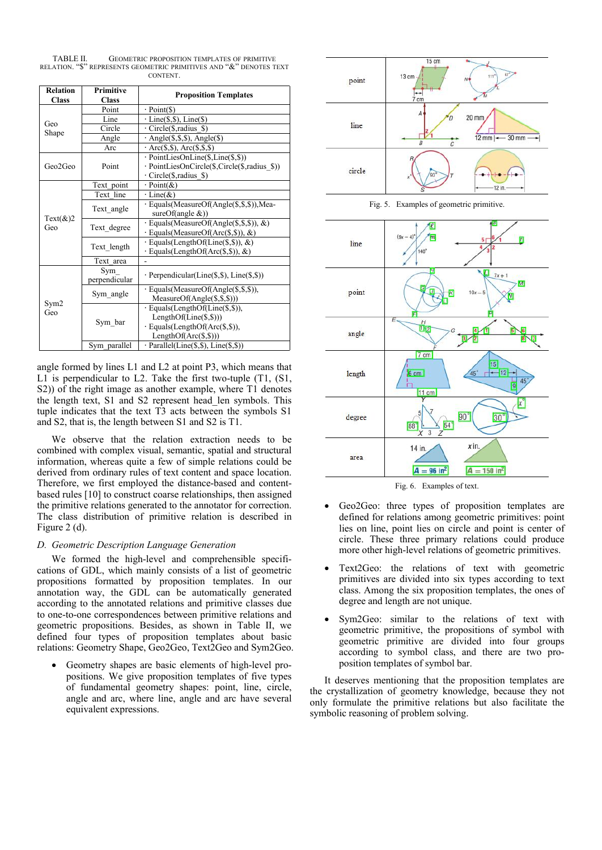TABLE II. GEOMETRIC PROPOSITION TEMPLATES OF PRIMITIVE RELATION. "\$" REPRESENTS GEOMETRIC PRIMITIVES AND "&" DENOTES TEXT **CONTENT.** 

| <b>Relation</b><br><b>Class</b> | <b>Primitive</b><br><b>Class</b> | <b>Proposition Templates</b>                                                                                                                                             |
|---------------------------------|----------------------------------|--------------------------------------------------------------------------------------------------------------------------------------------------------------------------|
|                                 | Point                            | $\cdot$ Point(\$)                                                                                                                                                        |
| Geo                             | Line                             | $\cdot$ Line(\$,\$), Line(\$)                                                                                                                                            |
| Shape                           | Circle                           | $\cdot$ Circle(\$, radius \$)                                                                                                                                            |
|                                 | Angle                            | $\cdot$ Angle(\$,\$,\$), Angle(\$)                                                                                                                                       |
|                                 | Arc                              | $\cdot$ Arc(\$,\$), Arc(\$,\$,\$)                                                                                                                                        |
| Geo2Geo                         | Point                            | · PointLiesOnLine(\$,Line(\$,\$))<br>· PointLiesOnCircle(\$,Circle(\$,radius_\$))<br>$\cdot$ Circle(\$, radius \$)                                                       |
|                                 | Text point                       | $\cdot$ Point(&)                                                                                                                                                         |
|                                 | Text line                        | $\cdot$ Line(&)                                                                                                                                                          |
|                                 | Text angle                       | · Equals(MeasureOf(Angle(\$,\$,\$)),Mea-<br>sureOf(angle $&$ ))                                                                                                          |
| Text $(\&)2$<br>Geo             | Text degree                      | $\cdot$ Equals(MeasureOf(Angle(\$,\$,\$)), &)<br>$\cdot$ Equals(MeasureOf(Arc(\$,\$)), &)                                                                                |
|                                 | Text length                      | $\cdot$ Equals(LengthOf(Line(\$,\$)), &)<br>· Equals(LengthOf(Arc(\$,\$)), &)                                                                                            |
|                                 | Text area                        |                                                                                                                                                                          |
|                                 | Sym<br>perpendicular             | $\cdot$ Perpendicular(Line(\$,\$), Line(\$,\$))                                                                                                                          |
|                                 | Sym angle                        | · Equals(MeasureOf(Angle(\$,\$,\$)),<br>$MeasureOf(Angle(§, §, §)))$                                                                                                     |
| Sym <sub>2</sub><br>Geo         | Sym bar                          | $\cdot$ Equals(LengthOf(Line(\$,\$)),<br>$LengthOf(Line(\text{\textsterling}, \text{\textsterling}))$<br>$\cdot$ Equals(LengthOf(Arc(\$,\$)),<br>$LengthOf(Arc(\S,\S)))$ |
|                                 | Sym parallel                     | $\cdot$ Parallel(Line(\$,\$), Line(\$,\$))                                                                                                                               |

angle formed by lines L1 and L2 at point P3, which means that  $\frac{1}{2}$  length L1 is perpendicular to L2. Take the first two-tuple (T1, (S1, S2)) of the right image as another example, where T1 denotes the length text, S1 and S2 represent head\_len symbols. This tuple indicates that the text T3 acts between the symbols S1 and S2, that is, the length between S1 and S2 is T1.

We observe that the relation extraction needs to be combined with complex visual, semantic, spatial and structural information, whereas quite a few of simple relations could be area derived from ordinary rules of text content and space location. Therefore, we first employed the distance-based and content based rules [10] to construct coarse relationships, then assigned the primitive relations generated to the annotator for correction. The class distribution of primitive relation is described in Figure 2 (d).

# *D. Geometric Description Language Generation*

We formed the high-level and comprehensible specifi cations of GDL, which mainly consists of a list of geometric propositions formatted by proposition templates. In our annotation way, the GDL can be automatically generated according to the annotated relations and primitive classes due to one-to-one correspondences between primitive relations and geometric propositions. Besides, as shown in Table Ⅱ, we defined four types of proposition templates about basic relations: Geometry Shape, Geo2Geo, Text2Geo and Sym2Geo.

 Geometry shapes are basic elements of high-level pro positions. We give proposition templates of five types of fundamental geometry shapes: point, line, circle, angle and arc, where line, angle and arc have several equivalent expressions.



Fig. 5. Examples of geometric primitive.



Fig. 6. Examples of text.

- Geo2Geo: three types of proposition templates are defined for relations among geometric primitives: point lies on line, point lies on circle and point is center of circle. These three primary relations could produce more other high-level relations of geometric primitives.
- Text2Geo: the relations of text with geometric primitives are divided into six types according to text class. Among the six proposition templates, the ones of degree and length are not unique.
- Sym2Geo: similar to the relations of text with geometric primitive, the propositions of symbol with geometric primitive are divided into four groups according to symbol class, and there are two pro position templates of symbol bar.

It deserves mentioning that the proposition templates are the crystallization of geometry knowledge, because they not only formulate the primitive relations but also facilitate the symbolic reasoning of problem solving.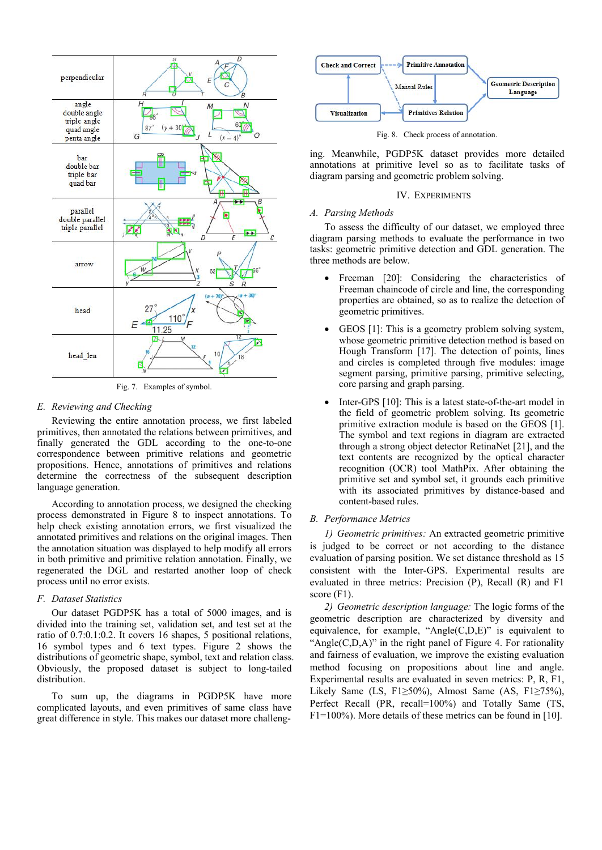

Fig. 7. Examples of symbol.

## *E. Reviewing and Checking*

Reviewing the entire annotation process, we first labeled primitives, then annotated the relations between primitives, and finally generated the GDL according to the one-to-one correspondence between primitive relations and geometric propositions. Hence, annotations of primitives and relations determine the correctness of the subsequent description language generation.

According to annotation process, we designed the checking process demonstrated in Figure 8 to inspect annotations. To help check existing annotation errors, we first visualized the annotated primitives and relations on the original images. Then the annotation situation was displayed to help modify all errors in both primitive and primitive relation annotation. Finally, we regenerated the DGL and restarted another loop of check process until no error exists.

### *F. Dataset Statistics*

Our dataset PGDP5K has a total of 5000 images, and is divided into the training set, validation set, and test set at the ratio of 0.7:0.1:0.2. It covers 16 shapes, 5 positional relations, 16 symbol types and 6 text types. Figure 2 shows the distributions of geometric shape, symbol, text and relation class. Obviously, the proposed dataset is subject to long-tailed distribution.

To sum up, the diagrams in PGDP5K have more complicated layouts, and even primitives of same class have great difference in style. This makes our dataset more challeng-



Fig. 8. Check process of annotation.

ing. Meanwhile, PGDP5K dataset provides more detailed annotations at primitive level so as to facilitate tasks of diagram parsing and geometric problem solving.

### IV. EXPERIMENTS

### *A. Parsing Methods*

To assess the difficulty of our dataset, we employed three diagram parsing methods to evaluate the performance in two tasks: geometric primitive detection and GDL generation. The three methods are below.

- Freeman [20]: Considering the characteristics of Freeman chaincode of circle and line, the corresponding properties are obtained, so as to realize the detection of geometric primitives.
- GEOS [1]: This is a geometry problem solving system, whose geometric primitive detection method is based on Hough Transform [17]. The detection of points, lines and circles is completed through five modules: image segment parsing, primitive parsing, primitive selecting, core parsing and graph parsing.
- Inter-GPS [10]: This is a latest state-of-the-art model in the field of geometric problem solving. Its geometric primitive extraction module is based on the GEOS [1]. The symbol and text regions in diagram are extracted through a strong object detector RetinaNet [21], and the text contents are recognized by the optical character recognition (OCR) tool MathPix. After obtaining the primitive set and symbol set, it grounds each primitive with its associated primitives by distance-based and content-based rules.

# *B. Performance Metrics*

*1) Geometric primitives:* An extracted geometric primitive is judged to be correct or not according to the distance evaluation of parsing position. We set distance threshold as 15 consistent with the Inter-GPS. Experimental results are evaluated in three metrics: Precision (P), Recall (R) and F1 score (F1).

*2) Geometric description language:* The logic forms of the geometric description are characterized by diversity and equivalence, for example, "Angle(C,D,E)" is equivalent to "Angle $(C, D, A)$ " in the right panel of Figure 4. For rationality and fairness of evaluation, we improve the existing evaluation method focusing on propositions about line and angle. Experimental results are evaluated in seven metrics: P, R, F1, Likely Same (LS, F1≥50%), Almost Same (AS, F1≥75%), Perfect Recall (PR, recall=100%) and Totally Same (TS, F1=100%). More details of these metrics can be found in [10].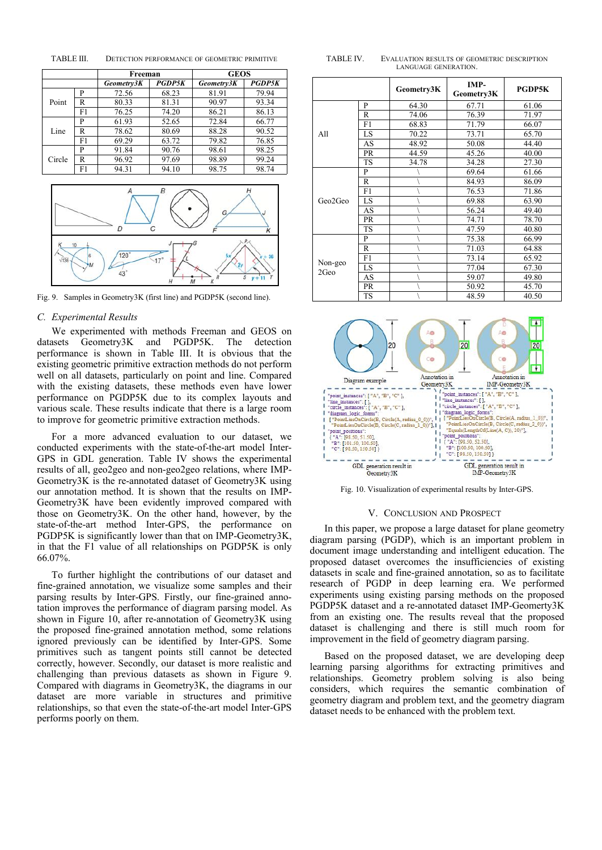| TABLE III. | DETECTION PERFORMANCE OF GEOMETRIC PRIMITIVE | <b>TABLE</b> |
|------------|----------------------------------------------|--------------|
|            |                                              |              |

|            |    | Freeman    |               | <b>GEOS</b> |               |
|------------|----|------------|---------------|-------------|---------------|
|            |    | Geometry3K | <b>PGDP5K</b> | Geometry3K  | <b>PGDP5K</b> |
| P<br>Point |    | 72.56      | 68.23         | 81.91       | 79.94         |
|            | R  | 80.33      | 81.31         | 90.97       | 93.34         |
|            | F1 | 76.25      | 74.20         | 86.21       | 86.13         |
|            | P  | 61.93      | 52.65         | 72.84       | 66.77         |
| Line       | R  | 78.62      | 80.69         | 88.28       | 90.52         |
|            | F1 | 69.29      | 63.72         | 79.82       | 76.85         |
|            | P  | 91.84      | 90.76         | 98.61       | 98.25         |
| Circle     | R  | 96.92      | 97.69         | 98.89       | 99.24         |
|            | F1 | 94.31      | 94.10         | 98.75       | 98.74         |
|            |    |            |               |             |               |



Fig. 9. Samples in Geometry3K (first line) and PGDP5K (second line).

## *C. Experimental Results*

We experimented with methods Freeman and GEOS on datasets Geometry3K and PGDP5K. The detection performance is shown in Table Ⅲ. It is obvious that the existing geometric primitive extraction methods do not perform well on all datasets, particularly on point and line. Compared with the existing datasets, these methods even have lower<br>  $\frac{1}{2}$  =  $\frac{1}{2}$  =  $\frac{1}{2}$  =  $\frac{1}{2}$  =  $\frac{1}{2}$  =  $\frac{1}{2}$  =  $\frac{1}{2}$  =  $\frac{1}{2}$  =  $\frac{1}{2}$  =  $\frac{1}{2}$  =  $\frac{1}{2}$  =  $\frac{1}{2}$  =  $\frac{1}{2}$  =  $\frac{1}{$ performance on PGDP5K due to its complex layouts and<br>various scale. These results indicate that there is a large room to improve for geometric primitive extraction methods.

For a more advanced evaluation to our dataset, we<br>ducted experiments with the state-of-the-art model Interconducted experiments with the state-of-the-art model Inter- GPS in GDL generation. Table IV shows the experimental  $\frac{1}{1-\frac{1}{1-\frac{1}{1-\frac{1}{1-\frac{1}{1-\frac{1}{1-\frac{1}{1-\frac{1}{1-\frac{1}{1-\frac{1}{1-\frac{1}{1-\frac{1}{1-\frac{1}{1-\frac{1}{1-\frac{1}{1-\frac{1}{1-\frac{1}{1-\frac{1}{1-\frac{1}{1-\frac{1}{1-\frac{1}{1-\frac{1}{1-\frac{1}{1-\frac{1}{1-\frac{1}{1-\frac{1}{1-\frac{1}{1-\frac{$ results of all, geo2geo and non-geo2geo relations, where IMP-Geometry3K is the re-annotated dataset of Geometry3K using our annotation method. It is shown that the results on IMP- Geometry3K have been evidently improved compared with those on Geometry3K. On the other hand, however, by the state-of-the-art method Inter-GPS, the performance on PGDP5K is significantly lower than that on IMP-Geometry3K, in that the F1 value of all relationships on PGDP5K is only 66.07%.

To further highlight the contributions of our dataset and fine-grained annotation, we visualize some samples and their parsing results by Inter-GPS. Firstly, our fine-grained annotation improves the performance of diagram parsing model. As shown in Figure 10, after re-annotation of Geometry3K using the proposed fine-grained annotation method, some relations ignored previously can be identified by Inter-GPS. Some primitives such as tangent points still cannot be detected correctly, however. Secondly, our dataset is more realistic and challenging than previous datasets as shown in Figure 9. Compared with diagrams in Geometry3K, the diagrams in our dataset are more variable in structures and primitive relationships, so that even the state-of-the-art model Inter-GPS performs poorly on them.

TABLE IV. EVALUATION RESULTS OF GEOMETRIC DESCRIPTION LANGUAGE GENERATION.

|                 |              | Geometry3K | IMP-<br>Geometry3K | PGDP5K |
|-----------------|--------------|------------|--------------------|--------|
|                 | $\mathbf{P}$ | 64.30      | 67.71              | 61.06  |
|                 | $\mathbb{R}$ | 74.06      | 76.39              | 71.97  |
|                 | F1           | 68.83      | 71.79              | 66.07  |
| All             | LS           | 70.22      | 73.71              | 65.70  |
|                 | AS           | 48.92      | 50.08              | 44.40  |
|                 | PR           | 44.59      | 45.26              | 40.00  |
|                 | <b>TS</b>    | 34.78      | 34.28              | 27.30  |
|                 | $\mathbf{P}$ |            | 69.64              | 61.66  |
|                 | $\mathbb{R}$ |            | 84.93              | 86.09  |
|                 | F1           |            | 76.53              | 71.86  |
| Geo2Geo         | LS           |            | 69.88              | 63.90  |
|                 | AS           |            | 56.24              | 49.40  |
|                 | PR           |            | 74.71              | 78.70  |
|                 | <b>TS</b>    |            | 47.59              | 40.80  |
|                 | P            |            | 75.38              | 66.99  |
| Non-geo<br>2Geo | $\mathbb{R}$ |            | 71.03              | 64.88  |
|                 | F1           |            | 73.14              | 65.92  |
|                 | LS           |            | 77.04              | 67.30  |
|                 | AS           |            | 59.07              | 49.80  |
|                 | PR           |            | 50.92              | 45.70  |
|                 | <b>TS</b>    |            | 48.59              | 40.50  |



Fig. 10. Visualization of experimental results by Inter-GPS.

# V. CONCLUSION AND PROSPECT

In this paper, we propose a large dataset for plane geometry diagram parsing (PGDP), which is an important problem in document image understanding and intelligent education. The proposed dataset overcomes the insufficiencies of existing datasets in scale and fine-grained annotation, so as to facilitate research of PGDP in deep learning era. We performed experiments using existing parsing methods on the proposed PGDP5K dataset and a re-annotated dataset IMP-Geomerty3K from an existing one. The results reveal that the proposed dataset is challenging and there is still much room for improvement in the field of geometry diagram parsing.

Based on the proposed dataset, we are developing deep learning parsing algorithms for extracting primitives and relationships. Geometry problem solving is also being considers, which requires the semantic combination of geometry diagram and problem text, and the geometry diagram dataset needs to be enhanced with the problem text.